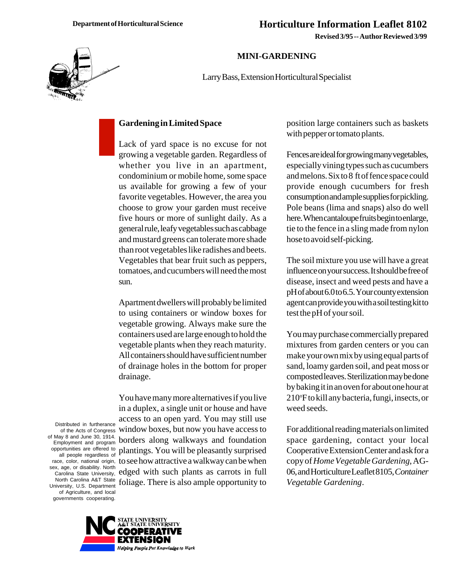**Revised 3/95 -- Author Reviewed 3/99**

## **MINI-GARDENING**

Larry Bass, Extension Horticultural Specialist

## **Gardening in Limited Space**

Lack of yard space is no excuse for not growing a vegetable garden. Regardless of whether you live in an apartment, condominium or mobile home, some space us available for growing a few of your favorite vegetables. However, the area you choose to grow your garden must receive five hours or more of sunlight daily. As a general rule, leafy vegetables such as cabbage and mustard greens can tolerate more shade than root vegetables like radishes and beets. Vegetables that bear fruit such as peppers, tomatoes, and cucumbers will need the most sun.

Apartment dwellers will probably be limited to using containers or window boxes for vegetable growing. Always make sure the containers used are large enough to hold the vegetable plants when they reach maturity. All containers should have sufficient number of drainage holes in the bottom for proper drainage.

You have many more alternatives if you live in a duplex, a single unit or house and have access to an open yard. You may still use window boxes, but now you have access to borders along walkways and foundation plantings. You will be pleasantly surprised to see how attractive a walkway can be when edged with such plants as carrots in full foliage. There is also ample opportunity to

position large containers such as baskets with pepper or tomato plants.

Fences are ideal for growing many vegetables, especially vining types such as cucumbers and melons. Six to 8 ft of fence space could provide enough cucumbers for fresh consumption and ample supplies for pickling. Pole beans (lima and snaps) also do well here. When cantaloupe fruits begin to enlarge, tie to the fence in a sling made from nylon hose to avoid self-picking.

The soil mixture you use will have a great influence on your success. It should be free of disease, insect and weed pests and have a pH of about 6.0 to 6.5. Your county extension agent can provide you with a soil testing kit to test the pH of your soil.

You may purchase commercially prepared mixtures from garden centers or you can make your own mix by using equal parts of sand, loamy garden soil, and peat moss or composted leaves. Sterilization may be done by baking it in an oven for about one hour at 210°F to kill any bacteria, fungi, insects, or weed seeds.

For additional reading materials on limited space gardening, contact your local Cooperative Extension Center and ask for a copy of *Home Vegetable Gardening*, AG-06, and Horticulture Leaflet 8105, *Container Vegetable Gardening*.

Distributed in furtherance of the Acts of Congress of May 8 and June 30, 1914. Employment and program opportunities are offered to all people regardless of race, color, national origin, sex, age, or disability. North Carolina State University, North Carolina A&T State University, U.S. Department of Agriculture, and local governments cooperating.